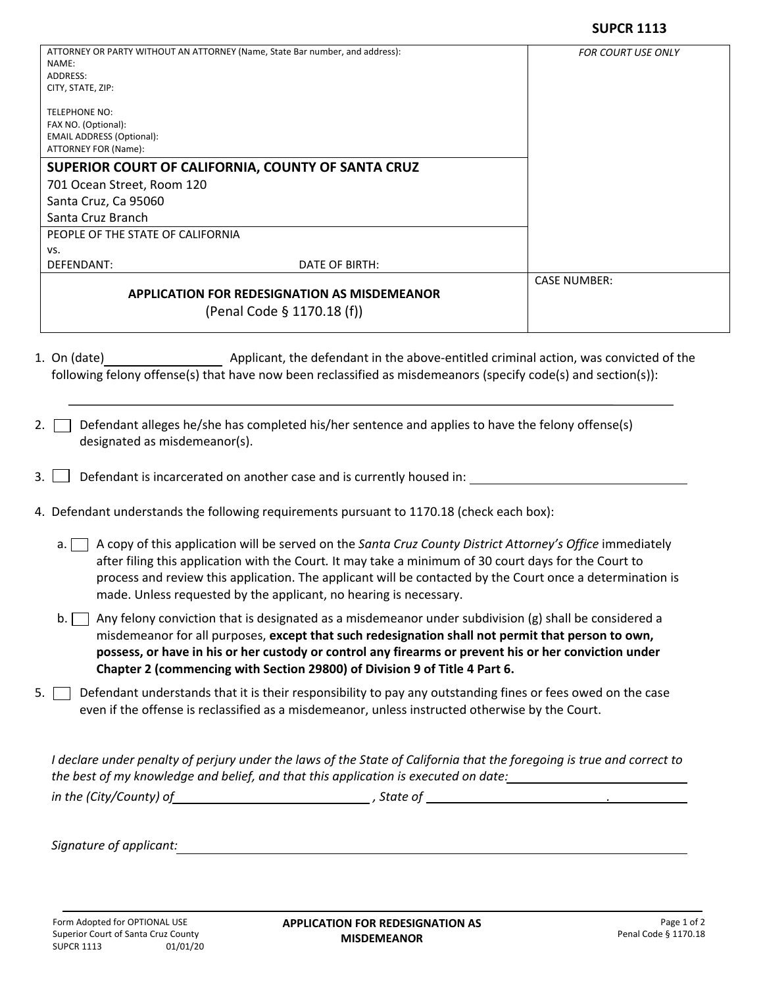| ATTORNEY OR PARTY WITHOUT AN ATTORNEY (Name, State Bar number, and address): | <b>FOR COURT USE ONLY</b>                          |                     |
|------------------------------------------------------------------------------|----------------------------------------------------|---------------------|
| NAME:                                                                        |                                                    |                     |
| ADDRESS:                                                                     |                                                    |                     |
| CITY, STATE, ZIP:                                                            |                                                    |                     |
| <b>TELEPHONE NO:</b>                                                         |                                                    |                     |
| FAX NO. (Optional):                                                          |                                                    |                     |
| <b>EMAIL ADDRESS (Optional):</b>                                             |                                                    |                     |
| ATTORNEY FOR (Name):                                                         |                                                    |                     |
|                                                                              | SUPERIOR COURT OF CALIFORNIA, COUNTY OF SANTA CRUZ |                     |
| 701 Ocean Street, Room 120                                                   |                                                    |                     |
| Santa Cruz, Ca 95060                                                         |                                                    |                     |
| Santa Cruz Branch                                                            |                                                    |                     |
| PEOPLE OF THE STATE OF CALIFORNIA                                            |                                                    |                     |
| VS.                                                                          |                                                    |                     |
| DEFENDANT:                                                                   | DATE OF BIRTH:                                     |                     |
|                                                                              |                                                    | <b>CASE NUMBER:</b> |
| <b>APPLICATION FOR REDESIGNATION AS MISDEMEANOR</b>                          |                                                    |                     |
|                                                                              | (Penal Code § 1170.18 (f))                         |                     |
|                                                                              |                                                    |                     |

- 1. On (date) Applicant, the defendant in the above-entitled criminal action, was convicted of the following felony offense(s) that have now been reclassified as misdemeanors (specify code(s) and section(s)):
- 2.  $\Box$  Defendant alleges he/she has completed his/her sentence and applies to have the felony offense(s) designated as misdemeanor(s).
- 3.  $\Box$  Defendant is incarcerated on another case and is currently housed in:  $\Box$
- 4. Defendant understands the following requirements pursuant to 1170.18 (check each box):
	- a. A copy of this application will be served on the *Santa Cruz County District Attorney's Office* immediately after filing this application with the Court*.* It may take a minimum of 30 court days for the Court to process and review this application. The applicant will be contacted by the Court once a determination is made. Unless requested by the applicant, no hearing is necessary.
	- b.  $\Box$  Any felony conviction that is designated as a misdemeanor under subdivision (g) shall be considered a misdemeanor for all purposes, **except that such redesignation shall not permit that person to own, possess, or have in his or her custody or control any firearms or prevent his or her conviction under Chapter 2 (commencing with Section 29800) of Division 9 of Title 4 Part 6.**
- 5. Defendant understands that it is their responsibility to pay any outstanding fines or fees owed on the case even if the offense is reclassified as a misdemeanor, unless instructed otherwise by the Court.

*I declare under penalty of perjury under the laws of the State of California that the foregoing is true and correct to the best of my knowledge and belief, and that this application is executed on date: in the (City/County) of , State of .* 

*Signature of applicant:*